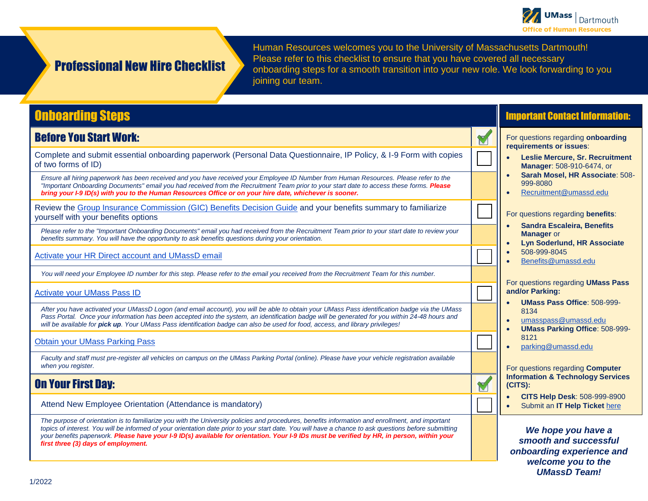

# Professional New Hire Checklist

Human Resources welcomes you to the University of Massachusetts Dartmouth! Please refer to this checklist to ensure that you have covered all necessary onboarding steps for a smooth transition into your new role. We look forwarding to you joining our team.

# Onboarding Steps

### Before You Start Work:

Complete and submit essential onboarding paperwork (Personal Data Questionnaire, IP Policy, & I-9 Form with copies of two forms of ID) ☐

*Ensure all hiring paperwork has been received and you have received your Employee ID Number from Human Resources. Please refer to the "Important Onboarding Documents" email you had received from the Recruitment Team prior to your start date to access these forms. Please bring your I-9 ID(s) with you to the Human Resources Office or on your hire date, whichever is sooner.*

Review the <u>Group Insurance Commission (GIC) Benefits Decision Guide</u> and your benefits summary to familiarize<br>yourself with your benefits options

*Please refer to the "Important Onboarding Documents" email you had received from the Recruitment Team prior to your start date to review your benefits summary. You will have the opportunity to ask benefits questions during your orientation.*

[Activate your HR Direct account and UMassD email](https://www.umassd.edu/cits/passwords/)

*You will need your Employee ID number for this step. Please refer to the email you received from the Recruitment Team for this number.*

**[Activate your UMass Pass ID](https://umasspass.umassd.edu/)** 

*After you have activated your UMassD Logon (and email account), you will be able to obtain your UMass Pass identification badge via the UMass*  Pass Portal. Once your information has been accepted into the system, an identification badge will be generated for you within 24-48 hours and *will be available for pick up. Your UMass Pass identification badge can also be used for food, access, and library privileges!*

[Obtain your UMass Parking Pass](https://www.umassd.edu/parking/staff/)

*Faculty and staff must pre-register all vehicles on campus on the UMass Parking Portal (online). Please have your vehicle registration available when you register.*

### On Your First Day:

Attend New Employee Orientation (Attendance is mandatory)

*The purpose of orientation is to familiarize you with the University policies and procedures, benefits information and enrollment, and important topics of interest. You will be informed of your orientation date prior to your start date. You will have a chance to ask questions before submitting your benefits paperwork. Please have your I-9 ID(s) available for orientation. Your I-9 IDs must be verified by HR, in person, within your first three (3) days of employment.*

### Important Contact Information:

For questions regarding **onboarding requirements or issues**:

- **Leslie Mercure, Sr. Recruitment Manager**: 508-910-6474, or
- **Sarah Mosel, HR Associate**: 508- 999-8080
- [Recruitment@umassd.edu](mailto:Recruitment@umassd.edu)

For questions regarding **benefits**:

- **Sandra Escaleira, Benefits Manager** or
- **Lyn Soderlund, HR Associate** • 508-999-8045
- [Benefits@umassd.edu](mailto:Benefits@umassd.edu)

For questions regarding **UMass Pass and/or Parking:**

- **UMass Pass Office**: 508-999- 8134
- [umasspass@umassd.edu](mailto:umasspass@umassd.edu)
- **UMass Parking Office**: 508-999- 8121
- [parking@umassd.edu](mailto:parking@umassd.edu)

For questions regarding **Computer Information & Technology Services (CITS):**

- **CITS Help Desk**: 508-999-8900
- Submit an **IT Help Ticket** [here](mailto:ITHelp@umassd.edu)

*We hope you have a smooth and successful onboarding experience and welcome you to the UMassD Team!*